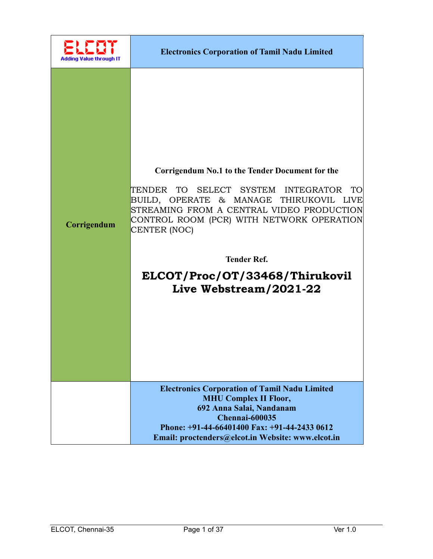| Adding Value through IT | <b>Electronics Corporation of Tamil Nadu Limited</b>                                                                                                                                                                                                                                                                                        |
|-------------------------|---------------------------------------------------------------------------------------------------------------------------------------------------------------------------------------------------------------------------------------------------------------------------------------------------------------------------------------------|
| Corrigendum             | Corrigendum No.1 to the Tender Document for the<br>TENDER TO SELECT SYSTEM INTEGRATOR<br>TO I<br>BUILD, OPERATE & MANAGE THIRUKOVIL LIVE<br>STREAMING FROM A CENTRAL VIDEO PRODUCTION<br>CONTROL ROOM (PCR) WITH NETWORK OPERATION<br><b>CENTER (NOC)</b><br><b>Tender Ref.</b><br>ELCOT/Proc/OT/33468/Thirukovil<br>Live Webstream/2021-22 |
|                         | <b>Electronics Corporation of Tamil Nadu Limited</b><br><b>MHU Complex II Floor,</b><br>692 Anna Salai, Nandanam<br><b>Chennai-600035</b><br>Phone: +91-44-66401400 Fax: +91-44-2433 0612<br>Email: proctenders@elcot.in Website: www.elcot.in                                                                                              |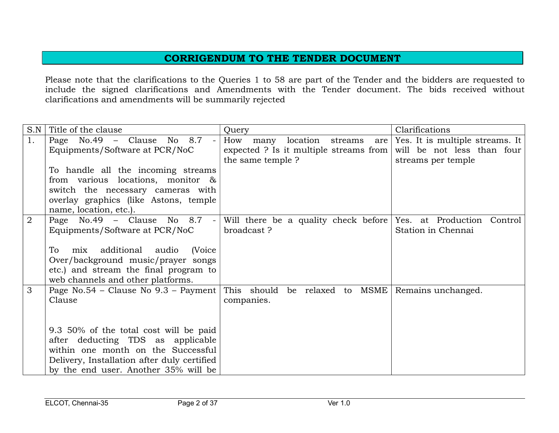## CORRIGENDUM TO THE TENDER DOCUMENT

Please note that the clarifications to the Queries 1 to 58 are part of the Tender and the bidders are requested to include the signed clarifications and Amendments with the Tender document. The bids received without clarifications and amendments will be summarily rejected

| S.N | Title of the clause                                       | Query                                          | Clarifications                               |  |
|-----|-----------------------------------------------------------|------------------------------------------------|----------------------------------------------|--|
| 1.  | Page $No.49 - Clause No.8.7$<br>$\blacksquare$            | How<br>many location streams                   | are $\sqrt{$ Yes. It is multiple streams. It |  |
|     | Equipments/Software at PCR/NoC                            | expected ? Is it multiple streams from $\vert$ | will be not less than four                   |  |
|     |                                                           | the same temple ?                              | streams per temple                           |  |
|     | To handle all the incoming streams                        |                                                |                                              |  |
|     | from various locations, monitor $\&$                      |                                                |                                              |  |
|     | switch the necessary cameras with                         |                                                |                                              |  |
|     | overlay graphics (like Astons, temple                     |                                                |                                              |  |
|     | name, location, etc.).                                    |                                                |                                              |  |
| 2   | Page No.49 - Clause No 8.7<br>$\mathcal{L}_{\mathcal{A}}$ | Will there be a quality check before           | Yes. at Production Control                   |  |
|     | Equipments/Software at PCR/NoC                            | broadcast?                                     | Station in Chennai                           |  |
|     |                                                           |                                                |                                              |  |
|     | additional audio<br>(Voice<br>mix<br>To.                  |                                                |                                              |  |
|     | Over/background music/prayer songs                        |                                                |                                              |  |
|     | etc.) and stream the final program to                     |                                                |                                              |  |
|     | web channels and other platforms.                         |                                                |                                              |  |
| 3   | Page No.54 – Clause No 9.3 – Payment                      | This should be relaxed to MSME                 | Remains unchanged.                           |  |
|     | Clause                                                    | companies.                                     |                                              |  |
|     |                                                           |                                                |                                              |  |
|     |                                                           |                                                |                                              |  |
|     | 9.3 50% of the total cost will be paid                    |                                                |                                              |  |
|     | after deducting TDS as applicable                         |                                                |                                              |  |
|     | within one month on the Successful                        |                                                |                                              |  |
|     | Delivery, Installation after duly certified               |                                                |                                              |  |
|     | by the end user. Another 35% will be                      |                                                |                                              |  |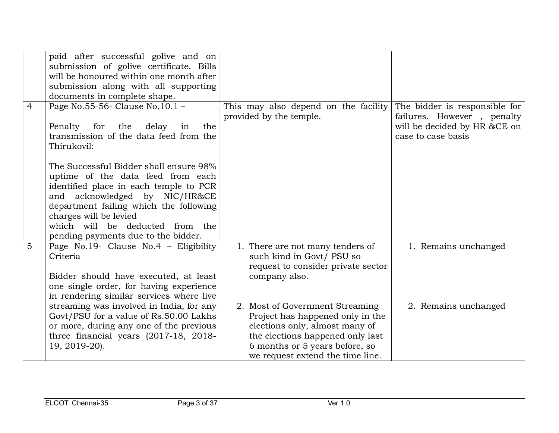|                | paid after successful golive and on<br>submission of golive certificate. Bills<br>will be honoured within one month after<br>submission along with all supporting<br>documents in complete shape.                                                                                                    |                                                                                                                                                                                                                 |                                                                                                                   |
|----------------|------------------------------------------------------------------------------------------------------------------------------------------------------------------------------------------------------------------------------------------------------------------------------------------------------|-----------------------------------------------------------------------------------------------------------------------------------------------------------------------------------------------------------------|-------------------------------------------------------------------------------------------------------------------|
| $\overline{4}$ | Page No.55-56- Clause No.10.1 -<br>for<br>delay<br>Penalty<br>the<br>the<br>in<br>transmission of the data feed from the<br>Thirukovil:                                                                                                                                                              | This may also depend on the facility<br>provided by the temple.                                                                                                                                                 | The bidder is responsible for<br>failures. However, penalty<br>will be decided by HR &CE on<br>case to case basis |
|                | The Successful Bidder shall ensure 98%<br>uptime of the data feed from each<br>identified place in each temple to PCR<br>and acknowledged by NIC/HR&CE<br>department failing which the following<br>charges will be levied<br>which will be deducted from the<br>pending payments due to the bidder. |                                                                                                                                                                                                                 |                                                                                                                   |
| $\overline{5}$ | Page No.19- Clause No.4 - Eligibility<br>Criteria<br>Bidder should have executed, at least<br>one single order, for having experience<br>in rendering similar services where live                                                                                                                    | 1. There are not many tenders of<br>such kind in Govt/ PSU so<br>request to consider private sector<br>company also.                                                                                            | 1. Remains unchanged                                                                                              |
|                | streaming was involved in India, for any<br>Govt/PSU for a value of Rs.50.00 Lakhs<br>or more, during any one of the previous<br>three financial years (2017-18, 2018-<br>19, 2019-20).                                                                                                              | 2. Most of Government Streaming<br>Project has happened only in the<br>elections only, almost many of<br>the elections happened only last<br>6 months or 5 years before, so<br>we request extend the time line. | 2. Remains unchanged                                                                                              |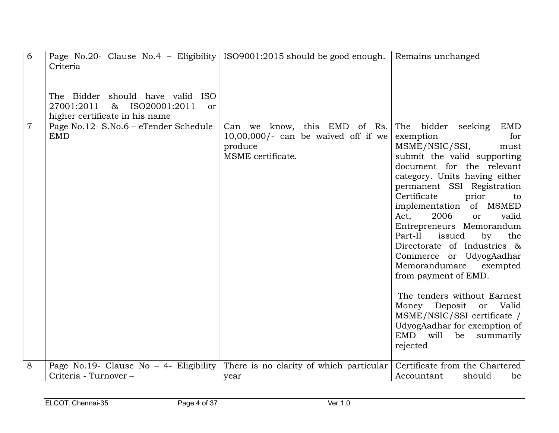| 6              | Page No.20- Clause No.4 - Eligibility   ISO9001:2015 should be good enough.<br>Criteria                         |                                                                                                              | Remains unchanged                                                                                                                                                                                                                                                                                                                                                                                                                                                                                                                                                                                                                                                       |
|----------------|-----------------------------------------------------------------------------------------------------------------|--------------------------------------------------------------------------------------------------------------|-------------------------------------------------------------------------------------------------------------------------------------------------------------------------------------------------------------------------------------------------------------------------------------------------------------------------------------------------------------------------------------------------------------------------------------------------------------------------------------------------------------------------------------------------------------------------------------------------------------------------------------------------------------------------|
|                | The Bidder should have valid ISO<br>27001:2011<br>ISO20001:2011<br>$\&$<br>or<br>higher certificate in his name |                                                                                                              |                                                                                                                                                                                                                                                                                                                                                                                                                                                                                                                                                                                                                                                                         |
| $\overline{7}$ | Page No.12- S.No.6 - eTender Schedule-<br><b>EMD</b>                                                            | this EMD<br>of Rs.<br>Can we know,<br>$10,00,000/$ - can be waived off if we<br>produce<br>MSME certificate. | bidder<br>seeking<br><b>EMD</b><br>The<br>exemption<br>for<br>MSME/NSIC/SSI,<br>must<br>submit the valid supporting<br>document for the relevant<br>category. Units having either<br>permanent SSI Registration<br>Certificate<br>prior<br>to<br>implementation of MSMED<br>2006<br>Act,<br><b>or</b><br>valid<br>Entrepreneurs Memorandum<br>Part-II<br>issued<br>by<br>the<br>Directorate of Industries &<br>Commerce or UdyogAadhar<br>Memorandumare<br>exempted<br>from payment of EMD.<br>The tenders without Earnest<br>Money Deposit<br>Valid<br>or<br>MSME/NSIC/SSI certificate /<br>UdyogAadhar for exemption of<br>EMD<br>will<br>be<br>summarily<br>rejected |
| 8              | Page No.19- Clause No $-$ 4- Eligibility                                                                        | There is no clarity of which particular                                                                      | Certificate from the Chartered                                                                                                                                                                                                                                                                                                                                                                                                                                                                                                                                                                                                                                          |
|                | Criteria - Turnover -                                                                                           | year                                                                                                         | Accountant<br>should<br>be                                                                                                                                                                                                                                                                                                                                                                                                                                                                                                                                                                                                                                              |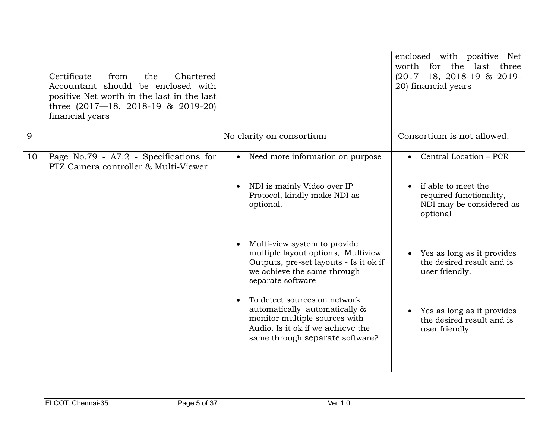|    | Certificate<br>from<br>Chartered<br>the<br>Accountant should be enclosed with<br>positive Net worth in the last in the last<br>three $(2017-18, 2018-19 \& 2019-20)$<br>financial years |                                                                                                                                                                        | enclosed with positive Net<br>worth for the last three<br>$(2017 - 18, 2018 - 19 & 2019 -$<br>20) financial years |
|----|-----------------------------------------------------------------------------------------------------------------------------------------------------------------------------------------|------------------------------------------------------------------------------------------------------------------------------------------------------------------------|-------------------------------------------------------------------------------------------------------------------|
| 9  |                                                                                                                                                                                         | No clarity on consortium                                                                                                                                               | Consortium is not allowed.                                                                                        |
| 10 | Page No.79 - A7.2 - Specifications for<br>PTZ Camera controller & Multi-Viewer                                                                                                          | • Need more information on purpose                                                                                                                                     | $\bullet$ Central Location – PCR                                                                                  |
|    |                                                                                                                                                                                         | NDI is mainly Video over IP<br>Protocol, kindly make NDI as<br>optional.                                                                                               | if able to meet the<br>required functionality,<br>NDI may be considered as<br>optional                            |
|    |                                                                                                                                                                                         | Multi-view system to provide<br>multiple layout options, Multiview<br>Outputs, pre-set layouts - Is it ok if<br>we achieve the same through<br>separate software       | Yes as long as it provides<br>the desired result and is<br>user friendly.                                         |
|    |                                                                                                                                                                                         | To detect sources on network<br>automatically automatically &<br>monitor multiple sources with<br>Audio. Is it ok if we achieve the<br>same through separate software? | Yes as long as it provides<br>$\bullet$<br>the desired result and is<br>user friendly                             |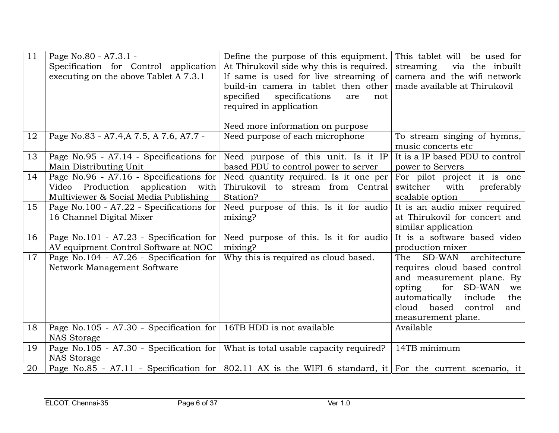| 11 | Page No.80 - A7.3.1 -<br>Specification for Control application<br>executing on the above Tablet A 7.3.1               | Define the purpose of this equipment.<br>At Thirukovil side why this is required.<br>If same is used for live streaming of<br>build-in camera in tablet then other<br>specified<br>specifications<br>are<br>not<br>required in application | This tablet will be used for<br>streaming<br>via the inbuilt<br>camera and the wifi network<br>made available at Thirukovil                                                                                                  |
|----|-----------------------------------------------------------------------------------------------------------------------|--------------------------------------------------------------------------------------------------------------------------------------------------------------------------------------------------------------------------------------------|------------------------------------------------------------------------------------------------------------------------------------------------------------------------------------------------------------------------------|
|    |                                                                                                                       | Need more information on purpose                                                                                                                                                                                                           |                                                                                                                                                                                                                              |
| 12 | Page No.83 - A7.4, A7.5, A7.6, A7.7 -                                                                                 | Need purpose of each microphone                                                                                                                                                                                                            | To stream singing of hymns,<br>music concerts etc                                                                                                                                                                            |
| 13 | Page No.95 - A7.14 - Specifications for<br>Main Distributing Unit                                                     | Need purpose of this unit. Is it IP<br>based PDU to control power to server                                                                                                                                                                | It is a IP based PDU to control<br>power to Servers                                                                                                                                                                          |
| 14 | Page No.96 - A7.16 - Specifications for<br>Video Production application with<br>Multiviewer & Social Media Publishing | Need quantity required. Is it one per<br>Thirukovil to stream from Central<br>Station?                                                                                                                                                     | For pilot project it is one<br>with<br>preferably<br>switcher<br>scalable option                                                                                                                                             |
| 15 | Page No.100 - A7.22 - Specifications for<br>16 Channel Digital Mixer                                                  | Need purpose of this. Is it for audio<br>mixing?                                                                                                                                                                                           | It is an audio mixer required<br>at Thirukovil for concert and<br>similar application                                                                                                                                        |
| 16 | Page No.101 - A7.23 - Specification for<br>AV equipment Control Software at NOC                                       | Need purpose of this. Is it for audio<br>mixing?                                                                                                                                                                                           | It is a software based video<br>production mixer                                                                                                                                                                             |
| 17 | Page No.104 - A7.26 - Specification for<br>Network Management Software                                                | Why this is required as cloud based.                                                                                                                                                                                                       | <b>SD-WAN</b><br>architecture<br>The<br>requires cloud based control<br>and measurement plane. By<br>for<br>SD-WAN<br>opting<br>we<br>automatically<br>include<br>the<br>cloud based<br>control<br>and<br>measurement plane. |
| 18 | Page No.105 - A7.30 - Specification for<br><b>NAS Storage</b>                                                         | 16TB HDD is not available                                                                                                                                                                                                                  | Available                                                                                                                                                                                                                    |
| 19 | Page No.105 - A7.30 - Specification for<br><b>NAS Storage</b>                                                         | What is total usable capacity required?                                                                                                                                                                                                    | 14TB minimum                                                                                                                                                                                                                 |
| 20 | Page No.85 - A7.11 - Specification for 802.11 AX is the WIFI 6 standard, it For the current scenario, it              |                                                                                                                                                                                                                                            |                                                                                                                                                                                                                              |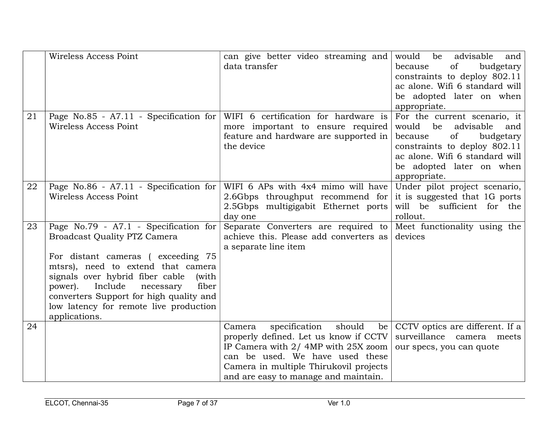|    | Wireless Access Point                                                                                                                                                                                                                                                                                                                                 | can give better video streaming and<br>data transfer                                                                                                                                                                                        | advisable<br>would<br>be<br>and<br>because<br>of<br>budgetary<br>constraints to deploy 802.11<br>ac alone. Wifi 6 standard will<br>be adopted later on when<br>appropriate.                                 |
|----|-------------------------------------------------------------------------------------------------------------------------------------------------------------------------------------------------------------------------------------------------------------------------------------------------------------------------------------------------------|---------------------------------------------------------------------------------------------------------------------------------------------------------------------------------------------------------------------------------------------|-------------------------------------------------------------------------------------------------------------------------------------------------------------------------------------------------------------|
| 21 | Page No.85 - A7.11 - Specification for<br>Wireless Access Point                                                                                                                                                                                                                                                                                       | WIFI 6 certification for hardware is<br>more important to ensure required<br>feature and hardware are supported in<br>the device                                                                                                            | For the current scenario, it<br>would<br>be<br>advisable<br>and<br>of<br>budgetary<br>because<br>constraints to deploy 802.11<br>ac alone. Wifi 6 standard will<br>be adopted later on when<br>appropriate. |
| 22 | Page No.86 - A7.11 - Specification for<br>Wireless Access Point                                                                                                                                                                                                                                                                                       | WIFI 6 APs with 4x4 mimo will have<br>2.6Gbps throughput recommend for<br>2.5Gbps multigigabit Ethernet ports<br>day one                                                                                                                    | Under pilot project scenario,<br>it is suggested that 1G ports<br>will be sufficient for the<br>rollout.                                                                                                    |
| 23 | Page No.79 - A7.1 - Specification for<br><b>Broadcast Quality PTZ Camera</b><br>For distant cameras (exceeding 75<br>mtsrs), need to extend that camera<br>signals over hybrid fiber cable<br>(with<br>Include<br>power).<br>necessary<br>fiber<br>converters Support for high quality and<br>low latency for remote live production<br>applications. | Separate Converters are required to<br>achieve this. Please add converters as<br>a separate line item                                                                                                                                       | Meet functionality using the<br>devices                                                                                                                                                                     |
| 24 |                                                                                                                                                                                                                                                                                                                                                       | specification<br>should<br>Camera<br>be<br>properly defined. Let us know if CCTV<br>IP Camera with 2/4MP with 25X zoom<br>can be used. We have used these<br>Camera in multiple Thirukovil projects<br>and are easy to manage and maintain. | CCTV optics are different. If a<br>surveillance camera meets<br>our specs, you can quote                                                                                                                    |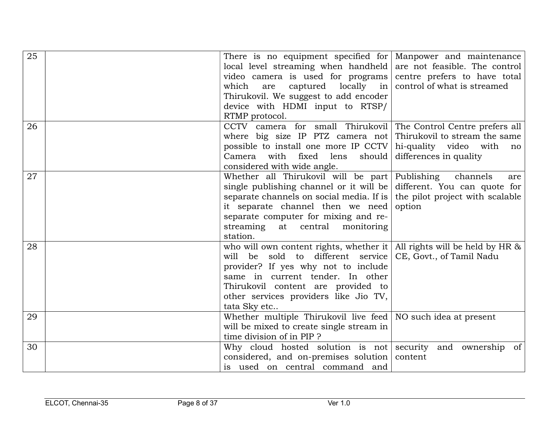| 25 | There is no equipment specified for Manpower and maintenance<br>local level streaming when handheld $\vert$<br>video camera is used for programs<br>which<br>captured<br>locally<br>are<br>in <sub>1</sub><br>Thirukovil. We suggest to add encoder<br>device with HDMI input to RTSP/<br>RTMP protocol. | are not feasible. The control<br>centre prefers to have total<br>control of what is streamed |
|----|----------------------------------------------------------------------------------------------------------------------------------------------------------------------------------------------------------------------------------------------------------------------------------------------------------|----------------------------------------------------------------------------------------------|
| 26 | CCTV camera for small Thirukovil The Control Centre prefers all<br>where big size IP PTZ camera not<br>possible to install one more IP CCTV<br>Camera with fixed lens<br>should<br>considered with wide angle.                                                                                           | Thirukovil to stream the same<br>hi-quality video with<br>no<br>differences in quality       |
| 27 | Whether all Thirukovil will be part Publishing<br>single publishing channel or it will be<br>separate channels on social media. If is<br>it separate channel then we need<br>separate computer for mixing and re-<br>streaming<br>at central<br>monitoring<br>station.                                   | channels<br>are<br>different. You can quote for<br>the pilot project with scalable<br>option |
| 28 | who will own content rights, whether it   All rights will be held by HR $\&$<br>sold to different service<br>will be<br>provider? If yes why not to include<br>same in current tender. In other<br>Thirukovil content are provided to<br>other services providers like Jio TV,<br>tata Sky etc           | CE, Govt., of Tamil Nadu                                                                     |
| 29 | Whether multiple Thirukovil live feed $\vert$ NO such idea at present<br>will be mixed to create single stream in<br>time division of in PIP ?                                                                                                                                                           |                                                                                              |
| 30 | Why cloud hosted solution is not security and ownership<br>considered, and on-premises solution<br>is used on central command and                                                                                                                                                                        | of<br>content                                                                                |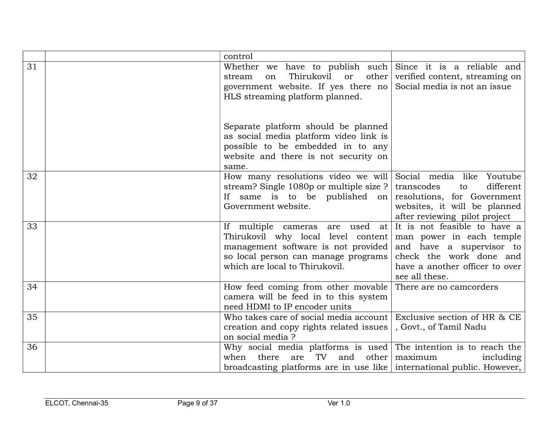|    | control                                                                                                                                                                                         |                                                                                                                                                                     |
|----|-------------------------------------------------------------------------------------------------------------------------------------------------------------------------------------------------|---------------------------------------------------------------------------------------------------------------------------------------------------------------------|
| 31 | Whether we have to publish such Since it is a reliable and<br>Thirukovil<br><b>or</b><br>$other \mid$<br>stream<br>on<br>government website. If yes there no<br>HLS streaming platform planned. | verified content, streaming on<br>Social media is not an issue                                                                                                      |
|    | Separate platform should be planned<br>as social media platform video link is<br>possible to be embedded in to any<br>website and there is not security on<br>same.                             |                                                                                                                                                                     |
| 32 | How many resolutions video we will<br>stream? Single 1080p or multiple size ?<br>If same is to be published on<br>Government website.                                                           | Social media like Youtube<br>different<br>transcodes<br>to<br>resolutions, for Government<br>websites, it will be planned<br>after reviewing pilot project          |
| 33 | If multiple cameras are used at<br>Thirukovil why local level content<br>management software is not provided<br>so local person can manage programs<br>which are local to Thirukovil.           | It is not feasible to have a<br>man power in each temple<br>and have a supervisor to<br>check the work done and<br>have a another officer to over<br>see all these. |
| 34 | How feed coming from other movable<br>camera will be feed in to this system<br>need HDMI to IP encoder units                                                                                    | There are no camcorders                                                                                                                                             |
| 35 | Who takes care of social media account<br>creation and copy rights related issues<br>on social media ?                                                                                          | Exclusive section of HR & CE<br>, Govt., of Tamil Nadu                                                                                                              |
| 36 | Why social media platforms is used The intention is to reach the<br>there<br>TV<br>and<br>when<br>are<br>other<br>broadcasting platforms are in use like international public. However,         | maximum<br>including                                                                                                                                                |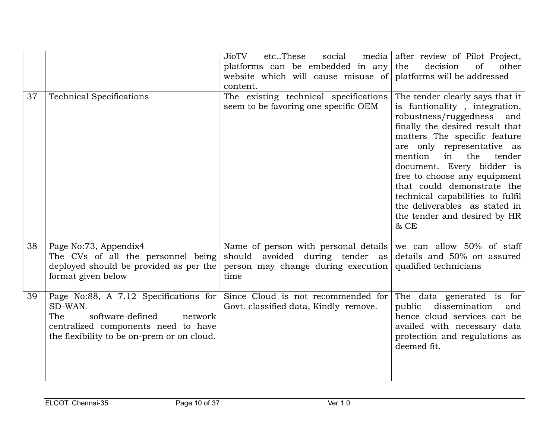|    |                                                                                                                                                                             | JioTV<br>etcThese<br>social<br>platforms can be embedded in any<br>website which will cause misuse of<br>content.     | media after review of Pilot Project,<br>the<br>decision<br>of<br>other<br>platforms will be addressed                                                                                                                                                                                                                                                                                                                                       |
|----|-----------------------------------------------------------------------------------------------------------------------------------------------------------------------------|-----------------------------------------------------------------------------------------------------------------------|---------------------------------------------------------------------------------------------------------------------------------------------------------------------------------------------------------------------------------------------------------------------------------------------------------------------------------------------------------------------------------------------------------------------------------------------|
| 37 | <b>Technical Specifications</b>                                                                                                                                             | The existing technical specifications<br>seem to be favoring one specific OEM                                         | The tender clearly says that it<br>is funtionality, integration,<br>robustness/ruggedness<br>and<br>finally the desired result that<br>matters The specific feature<br>are only representative as<br>mention<br>in<br>the<br>tender<br>document. Every bidder is<br>free to choose any equipment<br>that could demonstrate the<br>technical capabilities to fulfil<br>the deliverables as stated in<br>the tender and desired by HR<br>& CE |
| 38 | Page No:73, Appendix4<br>The CVs of all the personnel being<br>deployed should be provided as per the<br>format given below                                                 | Name of person with personal details<br>should avoided during tender as<br>person may change during execution<br>time | we can allow 50% of staff<br>details and 50% on assured<br>qualified technicians                                                                                                                                                                                                                                                                                                                                                            |
| 39 | Page No:88, A 7.12 Specifications for<br>SD-WAN.<br>The<br>software-defined<br>network<br>centralized components need to have<br>the flexibility to be on-prem or on cloud. | Since Cloud is not recommended for<br>Govt. classified data, Kindly remove.                                           | The data generated is for<br>dissemination<br>public<br>and<br>hence cloud services can be<br>availed with necessary data<br>protection and regulations as<br>deemed fit.                                                                                                                                                                                                                                                                   |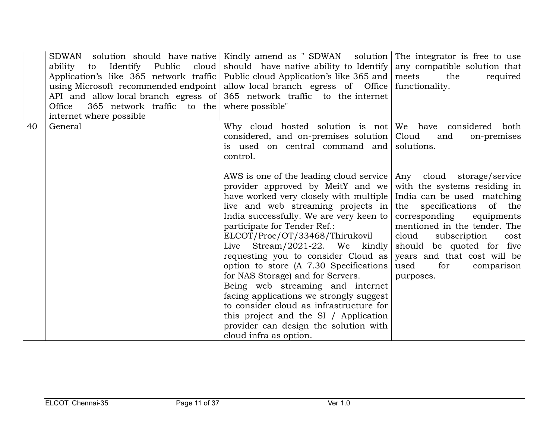|    | ability<br>Identify Public<br>cloud<br>to<br>Application's like 365 network traffic<br>using Microsoft recommended endpoint<br>API and allow local branch egress of<br>Office<br>365 network traffic to the<br>internet where possible | SDWAN solution should have native Kindly amend as "SDWAN solution The integrator is free to use<br>should have native ability to Identify<br>Public cloud Application's like 365 and   meets<br>allow local branch egress of Office<br>365 network traffic to the internet<br>where possible"                                                                                                                                                                                                                                                                                                                                                                                                                                  | any compatible solution that<br>the<br>required<br>functionality.                                                                                                                                                                                               |
|----|----------------------------------------------------------------------------------------------------------------------------------------------------------------------------------------------------------------------------------------|--------------------------------------------------------------------------------------------------------------------------------------------------------------------------------------------------------------------------------------------------------------------------------------------------------------------------------------------------------------------------------------------------------------------------------------------------------------------------------------------------------------------------------------------------------------------------------------------------------------------------------------------------------------------------------------------------------------------------------|-----------------------------------------------------------------------------------------------------------------------------------------------------------------------------------------------------------------------------------------------------------------|
| 40 | General                                                                                                                                                                                                                                | Why cloud hosted solution is not We have considered<br>considered, and on-premises solution<br>is used on central command and<br>control.                                                                                                                                                                                                                                                                                                                                                                                                                                                                                                                                                                                      | both<br>Cloud<br>and<br>on-premises<br>solutions.                                                                                                                                                                                                               |
|    |                                                                                                                                                                                                                                        | AWS is one of the leading cloud service   Any cloud storage/service<br>provider approved by MeitY and we<br>have worked very closely with multiple India can be used matching<br>live and web streaming projects in<br>India successfully. We are very keen to<br>participate for Tender Ref.:<br>ELCOT/Proc/OT/33468/Thirukovil<br>Live Stream/2021-22. We kindly<br>requesting you to consider Cloud as<br>option to store (A 7.30 Specifications<br>for NAS Storage) and for Servers.<br>Being web streaming and internet<br>facing applications we strongly suggest<br>to consider cloud as infrastructure for<br>this project and the SI / Application<br>provider can design the solution with<br>cloud infra as option. | with the systems residing in<br>the specifications<br>of the<br>corresponding equipments<br>mentioned in the tender. The<br>cloud<br>subscription<br>cost<br>should be quoted for five<br>years and that cost will be<br>used<br>for<br>comparison<br>purposes. |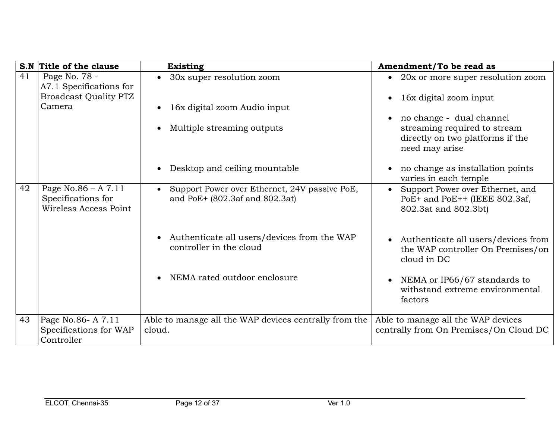|    | S.N Title of the clause                     | <b>Existing</b>                                                        | Amendment/To be read as                                                                 |
|----|---------------------------------------------|------------------------------------------------------------------------|-----------------------------------------------------------------------------------------|
| 41 | Page No. 78 -<br>A7.1 Specifications for    | • 30x super resolution zoom                                            | 20x or more super resolution zoom                                                       |
|    | <b>Broadcast Quality PTZ</b>                |                                                                        | 16x digital zoom input                                                                  |
|    | Camera                                      | 16x digital zoom Audio input                                           |                                                                                         |
|    |                                             |                                                                        | no change - dual channel                                                                |
|    |                                             | Multiple streaming outputs                                             | streaming required to stream<br>directly on two platforms if the<br>need may arise      |
|    |                                             | Desktop and ceiling mountable                                          | no change as installation points<br>varies in each temple                               |
| 42 | Page No.86 $- A 7.11$                       | Support Power over Ethernet, 24V passive PoE,                          | Support Power over Ethernet, and                                                        |
|    | Specifications for<br>Wireless Access Point | and PoE+ (802.3af and 802.3at)                                         | PoE+ and PoE++ (IEEE 802.3af,<br>802.3at and 802.3bt)                                   |
|    |                                             |                                                                        |                                                                                         |
|    |                                             | Authenticate all users/devices from the WAP<br>controller in the cloud | Authenticate all users/devices from<br>the WAP controller On Premises/on<br>cloud in DC |
|    |                                             | NEMA rated outdoor enclosure                                           | NEMA or IP66/67 standards to<br>withstand extreme environmental<br>factors              |
| 43 | Page No.86-A 7.11                           | Able to manage all the WAP devices centrally from the                  | Able to manage all the WAP devices                                                      |
|    | Specifications for WAP                      | cloud.                                                                 | centrally from On Premises/On Cloud DC                                                  |
|    | Controller                                  |                                                                        |                                                                                         |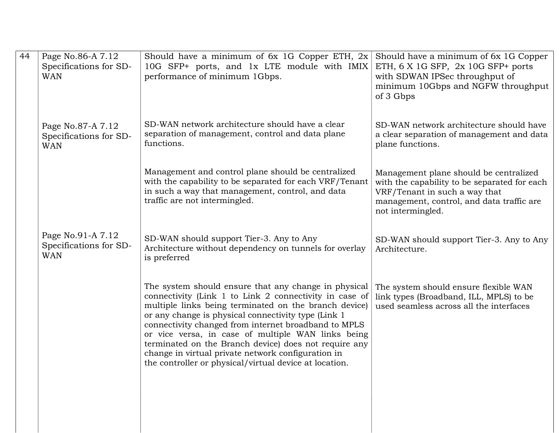| Page No.86-A 7.12<br>Specifications for SD-<br><b>WAN</b> | Should have a minimum of 6x 1G Copper ETH, $2x$<br>10G SFP+ ports, and 1x LTE module with IMIX<br>performance of minimum 1Gbps.                                                                                                                                                                                                                                                                                                                                                                                       | Should have a minimum of 6x 1G Copper<br>ETH, 6 X 1G SFP, 2x 10G SFP+ ports<br>with SDWAN IPSec throughput of<br>minimum 10Gbps and NGFW throughput<br>of 3 Gbps                          |
|-----------------------------------------------------------|-----------------------------------------------------------------------------------------------------------------------------------------------------------------------------------------------------------------------------------------------------------------------------------------------------------------------------------------------------------------------------------------------------------------------------------------------------------------------------------------------------------------------|-------------------------------------------------------------------------------------------------------------------------------------------------------------------------------------------|
| Page No.87-A 7.12<br>Specifications for SD-<br><b>WAN</b> | SD-WAN network architecture should have a clear<br>separation of management, control and data plane<br>functions.                                                                                                                                                                                                                                                                                                                                                                                                     | SD-WAN network architecture should have<br>a clear separation of management and data<br>plane functions.                                                                                  |
|                                                           | Management and control plane should be centralized<br>with the capability to be separated for each VRF/Tenant<br>in such a way that management, control, and data<br>traffic are not intermingled.                                                                                                                                                                                                                                                                                                                    | Management plane should be centralized<br>with the capability to be separated for each<br>VRF/Tenant in such a way that<br>management, control, and data traffic are<br>not intermingled. |
| Page No.91-A 7.12<br>Specifications for SD-<br><b>WAN</b> | SD-WAN should support Tier-3. Any to Any<br>Architecture without dependency on tunnels for overlay<br>is preferred                                                                                                                                                                                                                                                                                                                                                                                                    | SD-WAN should support Tier-3. Any to Any<br>Architecture.                                                                                                                                 |
|                                                           | The system should ensure that any change in physical<br>connectivity (Link 1 to Link 2 connectivity in case of<br>multiple links being terminated on the branch device)<br>or any change is physical connectivity type (Link 1<br>connectivity changed from internet broadband to MPLS<br>or vice versa, in case of multiple WAN links being<br>terminated on the Branch device) does not require any<br>change in virtual private network configuration in<br>the controller or physical/virtual device at location. | The system should ensure flexible WAN<br>link types (Broadband, ILL, MPLS) to be<br>used seamless across all the interfaces                                                               |
|                                                           |                                                                                                                                                                                                                                                                                                                                                                                                                                                                                                                       |                                                                                                                                                                                           |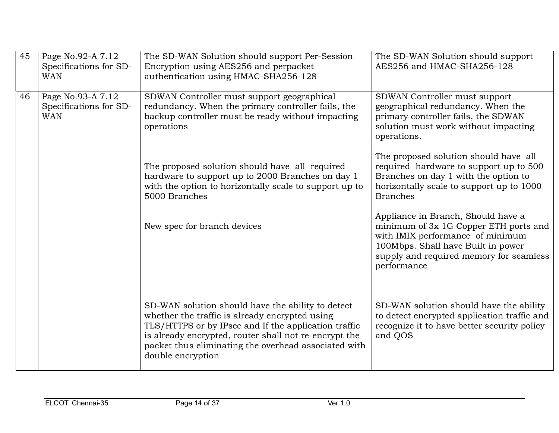| 45 | Page No.92-A 7.12<br>Specifications for SD-<br><b>WAN</b> | The SD-WAN Solution should support Per-Session<br>Encryption using AES256 and perpacket<br>authentication using HMAC-SHA256-128                                                                                                                                                                   | The SD-WAN Solution should support<br>AES256 and HMAC-SHA256-128                                                                                                                                                |
|----|-----------------------------------------------------------|---------------------------------------------------------------------------------------------------------------------------------------------------------------------------------------------------------------------------------------------------------------------------------------------------|-----------------------------------------------------------------------------------------------------------------------------------------------------------------------------------------------------------------|
| 46 | Page No.93-A 7.12<br>Specifications for SD-<br><b>WAN</b> | SDWAN Controller must support geographical<br>redundancy. When the primary controller fails, the<br>backup controller must be ready without impacting<br>operations                                                                                                                               | SDWAN Controller must support<br>geographical redundancy. When the<br>primary controller fails, the SDWAN<br>solution must work without impacting<br>operations.                                                |
|    |                                                           | The proposed solution should have all required<br>hardware to support up to 2000 Branches on day 1<br>with the option to horizontally scale to support up to<br>5000 Branches                                                                                                                     | The proposed solution should have all<br>required hardware to support up to 500<br>Branches on day 1 with the option to<br>horizontally scale to support up to 1000<br><b>Branches</b>                          |
|    |                                                           | New spec for branch devices                                                                                                                                                                                                                                                                       | Appliance in Branch, Should have a<br>minimum of 3x 1G Copper ETH ports and<br>with IMIX performance of minimum<br>100Mbps. Shall have Built in power<br>supply and required memory for seamless<br>performance |
|    |                                                           | SD-WAN solution should have the ability to detect<br>whether the traffic is already encrypted using<br>TLS/HTTPS or by IPsec and If the application traffic<br>is already encrypted, router shall not re-encrypt the<br>packet thus eliminating the overhead associated with<br>double encryption | SD-WAN solution should have the ability<br>to detect encrypted application traffic and<br>recognize it to have better security policy<br>and QOS                                                                |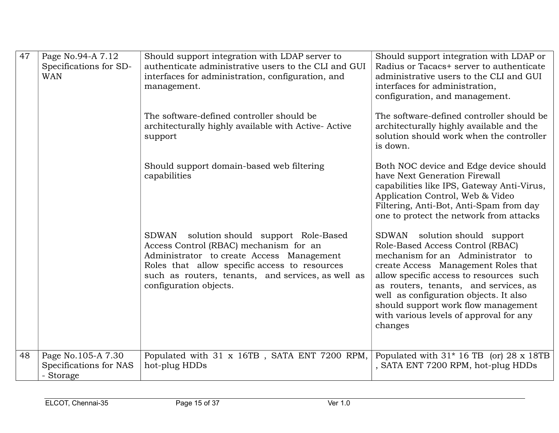| 47 | Page No.94-A 7.12<br>Specifications for SD-<br><b>WAN</b> | Should support integration with LDAP server to<br>authenticate administrative users to the CLI and GUI<br>interfaces for administration, configuration, and<br>management.                                                                                          | Should support integration with LDAP or<br>Radius or Tacacs+ server to authenticate<br>administrative users to the CLI and GUI<br>interfaces for administration,<br>configuration, and management.                                                                                                                                                                       |
|----|-----------------------------------------------------------|---------------------------------------------------------------------------------------------------------------------------------------------------------------------------------------------------------------------------------------------------------------------|--------------------------------------------------------------------------------------------------------------------------------------------------------------------------------------------------------------------------------------------------------------------------------------------------------------------------------------------------------------------------|
|    |                                                           | The software-defined controller should be<br>architecturally highly available with Active-Active<br>support                                                                                                                                                         | The software-defined controller should be<br>architecturally highly available and the<br>solution should work when the controller<br>is down.                                                                                                                                                                                                                            |
|    |                                                           | Should support domain-based web filtering<br>capabilities                                                                                                                                                                                                           | Both NOC device and Edge device should<br>have Next Generation Firewall<br>capabilities like IPS, Gateway Anti-Virus,<br>Application Control, Web & Video<br>Filtering, Anti-Bot, Anti-Spam from day<br>one to protect the network from attacks                                                                                                                          |
|    |                                                           | solution should support Role-Based<br>SDWAN<br>Access Control (RBAC) mechanism for an<br>Administrator to create Access Management<br>Roles that allow specific access to resources<br>such as routers, tenants, and services, as well as<br>configuration objects. | SDWAN solution should support<br>Role-Based Access Control (RBAC)<br>mechanism for an Administrator to<br>create Access Management Roles that<br>allow specific access to resources such<br>as routers, tenants, and services, as<br>well as configuration objects. It also<br>should support work flow management<br>with various levels of approval for any<br>changes |
| 48 | Page No.105-A 7.30<br>Specifications for NAS<br>- Storage | Populated with 31 x 16TB, SATA ENT 7200 RPM,<br>hot-plug HDDs                                                                                                                                                                                                       | Populated with $31*16$ TB (or) 28 x 18TB<br>, SATA ENT 7200 RPM, hot-plug HDDs                                                                                                                                                                                                                                                                                           |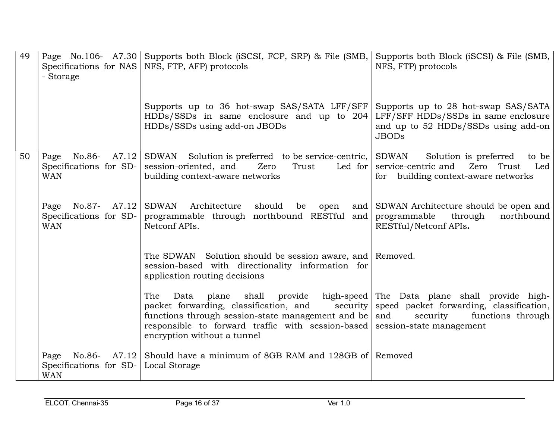| 49 | Specifications for NAS<br>- Storage                                     | Page No.106- A7.30 Supports both Block (iSCSI, FCP, SRP) & File (SMB,<br>NFS, FTP, AFP) protocols                                                                                                                                                                                                           | Supports both Block (iSCSI) & File (SMB,<br>NFS, FTP) protocols                                                                   |
|----|-------------------------------------------------------------------------|-------------------------------------------------------------------------------------------------------------------------------------------------------------------------------------------------------------------------------------------------------------------------------------------------------------|-----------------------------------------------------------------------------------------------------------------------------------|
|    |                                                                         | Supports up to 36 hot-swap SAS/SATA LFF/SFF<br>$HDDs/SSDs$ in same enclosure and up to 204<br>HDDs/SSDs using add-on JBODs                                                                                                                                                                                  | Supports up to 28 hot-swap SAS/SATA<br>LFF/SFF HDDs/SSDs in same enclosure<br>and up to 52 HDDs/SSDs using add-on<br><b>JBODs</b> |
| 50 | No.86-<br>A7.12 $\vert$<br>Page<br>Specifications for SD-<br><b>WAN</b> | SDWAN Solution is preferred to be service-centric, SDWAN<br>session-oriented, and<br>Zero<br>Trust<br>building context-aware networks                                                                                                                                                                       | Solution is preferred<br>to be<br>Led for service-centric and Zero Trust<br>Led<br>for building context-aware networks            |
|    | Page<br>No.87-<br>Specifications for SD-<br><b>WAN</b>                  | A7.12 SDWAN<br>Architecture should<br>be<br>open<br>programmable through northbound RESTful and<br>Netconf APIs.                                                                                                                                                                                            | and SDWAN Architecture should be open and<br>programmable<br>through<br>northbound<br>RESTful/Netconf APIs.                       |
|    |                                                                         | The SDWAN Solution should be session aware, and Removed.<br>session-based with directionality information for<br>application routing decisions                                                                                                                                                              |                                                                                                                                   |
|    |                                                                         | shall provide<br>The<br>Data<br>plane<br>packet forwarding, classification, and security speed packet forwarding, classification,<br>functions through session-state management and be $ $ and<br>responsible to forward traffic with session-based session-state management<br>encryption without a tunnel | high-speed The Data plane shall provide high-<br>functions through<br>security                                                    |
|    | No.86-<br>Page<br>Specifications for SD-<br><b>WAN</b>                  | A7.12 Should have a minimum of 8GB RAM and 128GB of Removed<br><b>Local Storage</b>                                                                                                                                                                                                                         |                                                                                                                                   |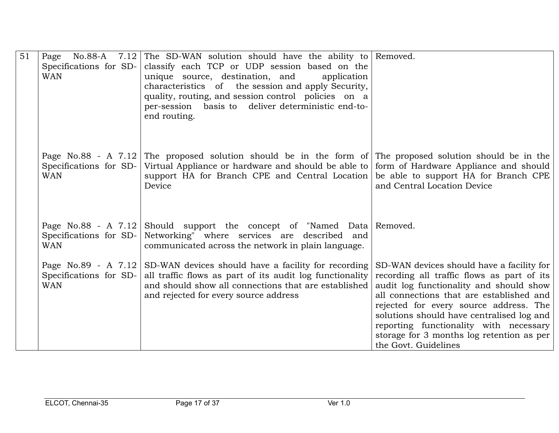| 51 | Page No.88-A           | 7.12 The SD-WAN solution should have the ability to Removed.                                                           |                                            |
|----|------------------------|------------------------------------------------------------------------------------------------------------------------|--------------------------------------------|
|    | Specifications for SD- | classify each TCP or UDP session based on the                                                                          |                                            |
|    | <b>WAN</b>             | unique source, destination, and<br>application                                                                         |                                            |
|    |                        | characteristics of the session and apply Security,                                                                     |                                            |
|    |                        | quality, routing, and session control policies on a                                                                    |                                            |
|    |                        | per-session basis to deliver deterministic end-to-                                                                     |                                            |
|    |                        | end routing.                                                                                                           |                                            |
|    |                        |                                                                                                                        |                                            |
|    |                        |                                                                                                                        |                                            |
|    |                        | Page No.88 - A 7.12 The proposed solution should be in the form of The proposed solution should be in the              |                                            |
|    |                        | Specifications for SD- Virtual Appliance or hardware and should be able to                                             | form of Hardware Appliance and should      |
|    | <b>WAN</b>             | support HA for Branch CPE and Central Location                                                                         | be able to support HA for Branch CPE       |
|    |                        | Device                                                                                                                 | and Central Location Device                |
|    |                        |                                                                                                                        |                                            |
|    |                        |                                                                                                                        |                                            |
|    |                        |                                                                                                                        |                                            |
|    | Specifications for SD- | Page No.88 - A 7.12 Should support the concept of "Named Data Removed.<br>Networking" where services are described and |                                            |
|    | <b>WAN</b>             | communicated across the network in plain language.                                                                     |                                            |
|    |                        |                                                                                                                        |                                            |
|    |                        | Page No.89 - A $7.12$ SD-WAN devices should have a facility for recording                                              | SD-WAN devices should have a facility for  |
|    | Specifications for SD- | all traffic flows as part of its audit log functionality                                                               | recording all traffic flows as part of its |
|    | <b>WAN</b>             | and should show all connections that are established                                                                   | audit log functionality and should show    |
|    |                        | and rejected for every source address                                                                                  | all connections that are established and   |
|    |                        |                                                                                                                        | rejected for every source address. The     |
|    |                        |                                                                                                                        | solutions should have centralised log and  |
|    |                        |                                                                                                                        | reporting functionality with necessary     |
|    |                        |                                                                                                                        | storage for 3 months log retention as per  |
|    |                        |                                                                                                                        | the Govt. Guidelines                       |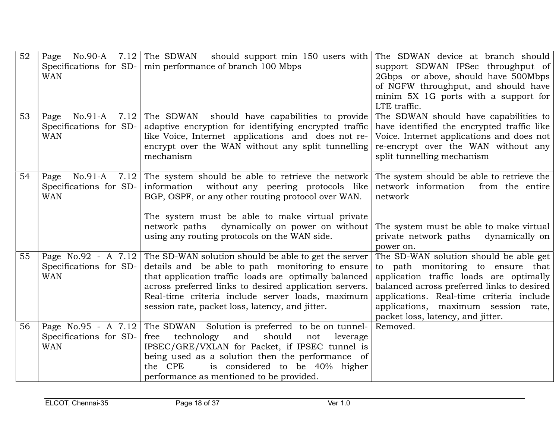| 52 | <b>WAN</b>                                                | Page No.90-A 7.12 The SDWAN should support min 150 users with<br>Specifications for SD- $\vert$ min performance of branch 100 Mbps                                                                                                                                                                                                                       | The SDWAN device at branch should<br>support SDWAN IPSec throughput of<br>2Gbps or above, should have 500Mbps<br>of NGFW throughput, and should have<br>minim 5X 1G ports with a support for<br>LTE traffic.                                                                                 |
|----|-----------------------------------------------------------|----------------------------------------------------------------------------------------------------------------------------------------------------------------------------------------------------------------------------------------------------------------------------------------------------------------------------------------------------------|----------------------------------------------------------------------------------------------------------------------------------------------------------------------------------------------------------------------------------------------------------------------------------------------|
| 53 | $No.91-A$<br>Page<br>Specifications for SD-<br><b>WAN</b> | $7.12$ The SDWAN<br>should have capabilities to provide<br>adaptive encryption for identifying encrypted traffic<br>like Voice, Internet applications and does not re-<br>encrypt over the WAN without any split tunnelling<br>mechanism                                                                                                                 | The SDWAN should have capabilities to<br>have identified the encrypted traffic like<br>Voice. Internet applications and does not<br>re-encrypt over the WAN without any<br>split tunnelling mechanism                                                                                        |
| 54 | No.91-A<br>Page<br>Specifications for SD-<br><b>WAN</b>   | 7.12 The system should be able to retrieve the network<br>information without any peering protocols like<br>BGP, OSPF, or any other routing protocol over WAN.<br>The system must be able to make virtual private<br>network paths<br>dynamically on power on without<br>using any routing protocols on the WAN side.                                    | The system should be able to retrieve the<br>network information<br>from the entire<br>network<br>The system must be able to make virtual<br>private network paths<br>dynamically on<br>power on.                                                                                            |
| 55 | Specifications for SD-<br><b>WAN</b>                      | Page No.92 - A $7.12$ The SD-WAN solution should be able to get the server<br>details and be able to path monitoring to ensure<br>that application traffic loads are optimally balanced<br>across preferred links to desired application servers.<br>Real-time criteria include server loads, maximum<br>session rate, packet loss, latency, and jitter. | The SD-WAN solution should be able get<br>to path monitoring to ensure that<br>application traffic loads are optimally<br>balanced across preferred links to desired<br>applications. Real-time criteria include<br>applications, maximum session rate,<br>packet loss, latency, and jitter. |
| 56 | Specifications for SD-<br><b>WAN</b>                      | Page No.95 - A $7.12$ The SDWAN Solution is preferred to be on tunnel-<br>free<br>technology<br>and<br>should<br>leverage<br>not<br>IPSEC/GRE/VXLAN for Packet, if IPSEC tunnel is<br>being used as a solution then the performance of<br>is considered to be 40% higher<br>the CPE<br>performance as mentioned to be provided.                          | Removed.                                                                                                                                                                                                                                                                                     |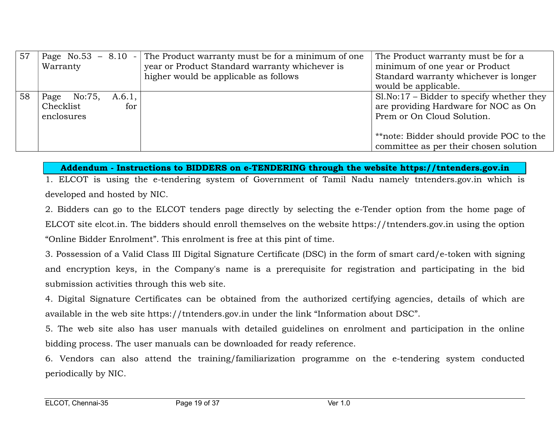| 57 | Page $No.53 - 8.10 -$<br>Warranty      |               | The Product warranty must be for a minimum of one<br>year or Product Standard warranty whichever is<br>higher would be applicable as follows | The Product warranty must be for a<br>minimum of one year or Product<br>Standard warranty whichever is longer<br>would be applicable.                                                                   |
|----|----------------------------------------|---------------|----------------------------------------------------------------------------------------------------------------------------------------------|---------------------------------------------------------------------------------------------------------------------------------------------------------------------------------------------------------|
| 58 | Page No:75,<br>Checklist<br>enclosures | A.6.1,<br>for |                                                                                                                                              | $S1.No:17 - Bidder$ to specify whether they<br>are providing Hardware for NOC as On<br>Prem or On Cloud Solution.<br>**note: Bidder should provide POC to the<br>committee as per their chosen solution |

### Addendum - Instructions to BIDDERS on e-TENDERING through the website https://tntenders.gov.in

1. ELCOT is using the e-tendering system of Government of Tamil Nadu namely tntenders.gov.in which is developed and hosted by NIC.

2. Bidders can go to the ELCOT tenders page directly by selecting the e-Tender option from the home page of ELCOT site elcot.in. The bidders should enroll themselves on the website https://tntenders.gov.in using the option "Online Bidder Enrolment". This enrolment is free at this pint of time.

3. Possession of a Valid Class III Digital Signature Certificate (DSC) in the form of smart card/e-token with signing and encryption keys, in the Company's name is a prerequisite for registration and participating in the bid submission activities through this web site.

4. Digital Signature Certificates can be obtained from the authorized certifying agencies, details of which are available in the web site https://tntenders.gov.in under the link "Information about DSC".

5. The web site also has user manuals with detailed guidelines on enrolment and participation in the online bidding process. The user manuals can be downloaded for ready reference.

6. Vendors can also attend the training/familiarization programme on the e-tendering system conducted periodically by NIC.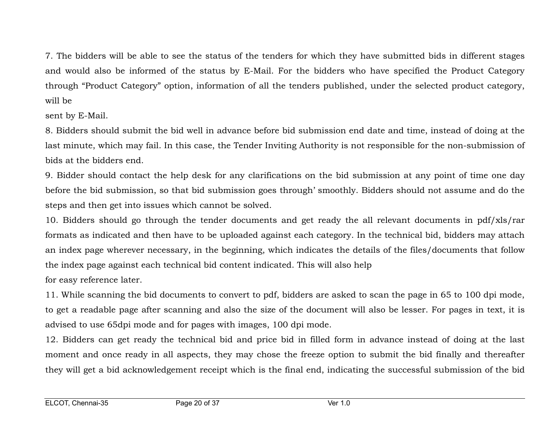7. The bidders will be able to see the status of the tenders for which they have submitted bids in different stages and would also be informed of the status by E-Mail. For the bidders who have specified the Product Category through "Product Category" option, information of all the tenders published, under the selected product category, will be

sent by E-Mail.

8. Bidders should submit the bid well in advance before bid submission end date and time, instead of doing at the last minute, which may fail. In this case, the Tender Inviting Authority is not responsible for the non-submission of bids at the bidders end.

9. Bidder should contact the help desk for any clarifications on the bid submission at any point of time one day before the bid submission, so that bid submission goes through' smoothly. Bidders should not assume and do the steps and then get into issues which cannot be solved.

10. Bidders should go through the tender documents and get ready the all relevant documents in pdf/xls/rar formats as indicated and then have to be uploaded against each category. In the technical bid, bidders may attach an index page wherever necessary, in the beginning, which indicates the details of the files/documents that follow the index page against each technical bid content indicated. This will also help

for easy reference later.

11. While scanning the bid documents to convert to pdf, bidders are asked to scan the page in 65 to 100 dpi mode, to get a readable page after scanning and also the size of the document will also be lesser. For pages in text, it is advised to use 65dpi mode and for pages with images, 100 dpi mode.

12. Bidders can get ready the technical bid and price bid in filled form in advance instead of doing at the last moment and once ready in all aspects, they may chose the freeze option to submit the bid finally and thereafter they will get a bid acknowledgement receipt which is the final end, indicating the successful submission of the bid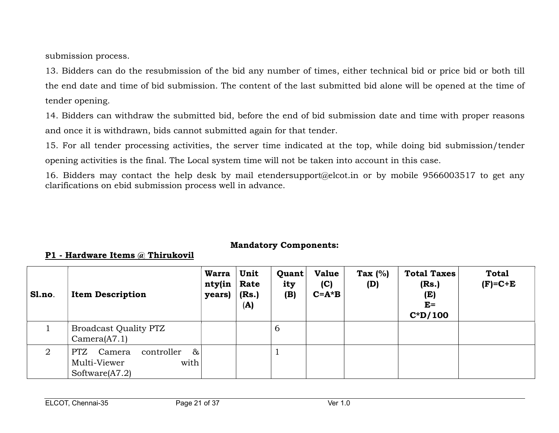submission process.

13. Bidders can do the resubmission of the bid any number of times, either technical bid or price bid or both till the end date and time of bid submission. The content of the last submitted bid alone will be opened at the time of tender opening.

14. Bidders can withdraw the submitted bid, before the end of bid submission date and time with proper reasons and once it is withdrawn, bids cannot submitted again for that tender.

15. For all tender processing activities, the server time indicated at the top, while doing bid submission/tender opening activities is the final. The Local system time will not be taken into account in this case.

16. Bidders may contact the help desk by mail etendersupport@elcot.in or by mobile 9566003517 to get any clarifications on ebid submission process well in advance.

## Mandatory Components:

## P1 - Hardware Items @ Thirukovil

| Sl.no.         | <b>Item Description</b>                                                          | <b>Warra</b><br>nty(in<br>years) | Unit<br>Rate<br>(Rs.)<br>(A) | Quant<br>ity<br>(B) | <b>Value</b><br>(C)<br>$C = A * B$ | Tax $(%)$<br>(D) | <b>Total Taxes</b><br>(Rs.)<br>(E)<br>$E=$<br>$C^*D/100$ | <b>Total</b><br>$(F)=C+E$ |
|----------------|----------------------------------------------------------------------------------|----------------------------------|------------------------------|---------------------|------------------------------------|------------------|----------------------------------------------------------|---------------------------|
|                | Broadcast Quality PTZ<br>Camera(A7.1)                                            |                                  |                              | 6                   |                                    |                  |                                                          |                           |
| $\overline{2}$ | $\&$<br>Camera<br>controller<br>PTZ<br>with<br>Multi-Viewer<br>Software $(A7.2)$ |                                  |                              |                     |                                    |                  |                                                          |                           |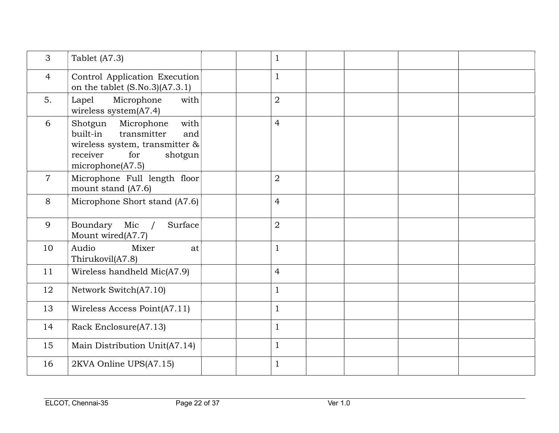| 3              | Tablet (A7.3)                                                                                                                                          | $\mathbf{1}$   |  |  |
|----------------|--------------------------------------------------------------------------------------------------------------------------------------------------------|----------------|--|--|
| $\overline{4}$ | Control Application Execution<br>on the tablet $(S.No.3)(A7.3.1)$                                                                                      | $\mathbf{1}$   |  |  |
| 5.             | Microphone<br>with<br>Lapel<br>wireless system(A7.4)                                                                                                   | $\overline{2}$ |  |  |
| 6              | with<br>Microphone<br>Shotgun<br>built-in<br>transmitter<br>and<br>wireless system, transmitter $\&$<br>receiver<br>for<br>shotgun<br>microphone(A7.5) | $\overline{4}$ |  |  |
| $\overline{7}$ | Microphone Full length floor<br>mount stand (A7.6)                                                                                                     | $\overline{2}$ |  |  |
| 8              | Microphone Short stand (A7.6)                                                                                                                          | $\overline{4}$ |  |  |
| 9              | Boundary<br>Mic<br>Surface<br>Mount wired(A7.7)                                                                                                        | $\overline{2}$ |  |  |
| 10             | Audio<br>Mixer<br>at<br>Thirukovil(A7.8)                                                                                                               | $\mathbf{1}$   |  |  |
| 11             | Wireless handheld Mic(A7.9)                                                                                                                            | $\overline{4}$ |  |  |
| 12             | Network Switch(A7.10)                                                                                                                                  | $\mathbf{1}$   |  |  |
| 13             | Wireless Access Point(A7.11)                                                                                                                           | $\mathbf{1}$   |  |  |
| 14             | Rack Enclosure(A7.13)                                                                                                                                  | $\mathbf{1}$   |  |  |
| 15             | Main Distribution Unit(A7.14)                                                                                                                          | $\mathbf{1}$   |  |  |
| 16             | 2KVA Online UPS(A7.15)                                                                                                                                 | $\mathbf{1}$   |  |  |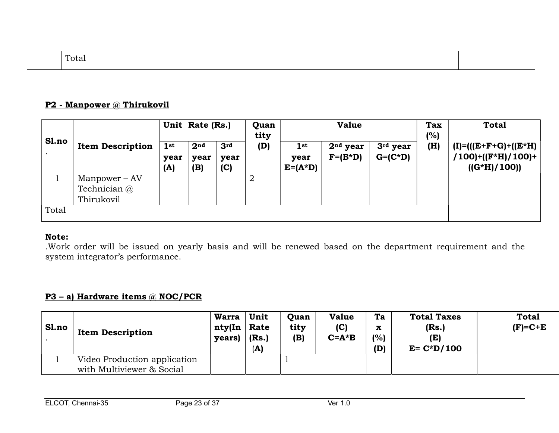| –<br>Tota |  |
|-----------|--|
|-----------|--|

#### P2 - Manpower @ Thirukovil

|       |                         | Unit Rate (Rs.)                |                                | Quan<br>tity                   | <b>Value</b>   |                                |                          |                                    | <b>Total</b> |                                                                    |
|-------|-------------------------|--------------------------------|--------------------------------|--------------------------------|----------------|--------------------------------|--------------------------|------------------------------------|--------------|--------------------------------------------------------------------|
| Sl.no | <b>Item Description</b> | 1 <sup>st</sup><br>year<br>(A) | 2 <sub>nd</sub><br>year<br>(B) | 3 <sup>rd</sup><br>year<br>(C) | (D)            | $1$ st<br>year<br>$E = (A^*D)$ | $2nd$ year<br>$F=(B^*D)$ | 3 <sup>rd</sup> year<br>$G=(C^*D)$ | (%)<br>(H)   | $(I)=(((E+F+G)+(E*H))$<br>$/100$ )+((F*H)/100)+<br>$((G^*H)/100))$ |
|       | $Manpower - AV$         |                                |                                |                                | $\overline{2}$ |                                |                          |                                    |              |                                                                    |
|       | Technician @            |                                |                                |                                |                |                                |                          |                                    |              |                                                                    |
|       | Thirukovil              |                                |                                |                                |                |                                |                          |                                    |              |                                                                    |
| Total |                         |                                |                                |                                |                |                                |                          |                                    |              |                                                                    |

### Note:

.Work order will be issued on yearly basis and will be renewed based on the department requirement and the system integrator's performance.

### P3 – a) Hardware items @ NOC/PCR

| Sl.no | <b>Item Description</b>      | <b>Warra</b><br>nty(In<br>years) | Unit<br>Rate<br>(Rs.)<br>(A) | Quan<br>tity<br>(B) | <b>Value</b><br>(C)<br>$C = A * B$ | Ta<br>X<br>(%)<br>(D) | <b>Total Taxes</b><br>(Rs.)<br>(E)<br>$E = C*D/100$ | <b>Total</b><br>$(F)=C+E$ |
|-------|------------------------------|----------------------------------|------------------------------|---------------------|------------------------------------|-----------------------|-----------------------------------------------------|---------------------------|
|       | Video Production application |                                  |                              |                     |                                    |                       |                                                     |                           |
|       | with Multiviewer & Social    |                                  |                              |                     |                                    |                       |                                                     |                           |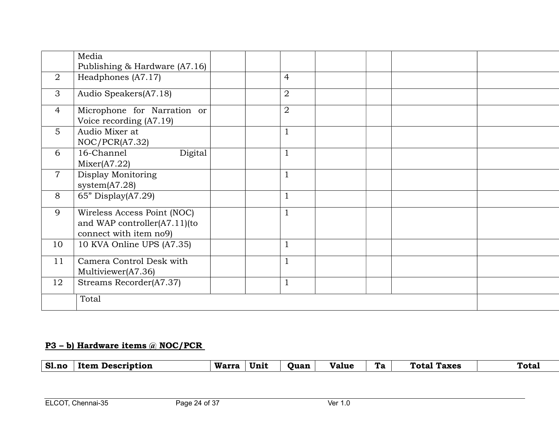|                | Media                                                                                 |                |  |  |
|----------------|---------------------------------------------------------------------------------------|----------------|--|--|
|                | Publishing $&$ Hardware (A7.16)                                                       |                |  |  |
| $\overline{2}$ | Headphones (A7.17)                                                                    | $\overline{4}$ |  |  |
| 3              | Audio Speakers(A7.18)                                                                 | $\overline{2}$ |  |  |
| $\overline{4}$ | Microphone for Narration or<br>Voice recording (A7.19)                                | $\overline{2}$ |  |  |
| $5^{\circ}$    | Audio Mixer at<br>NOC/PCR(A7.32)                                                      |                |  |  |
| 6              | Digital<br>16-Channel<br>Mixer(A7.22)                                                 | $\perp$        |  |  |
| $\overline{7}$ | Display Monitoring<br>system $(A7.28)$                                                |                |  |  |
| 8              | $65"$ Display(A7.29)                                                                  |                |  |  |
| 9              | Wireless Access Point (NOC)<br>and WAP controller(A7.11)(to<br>connect with item no9) |                |  |  |
| 10             | 10 KVA Online UPS (A7.35)                                                             |                |  |  |
| 11             | Camera Control Desk with<br>Multiviewer(A7.36)                                        |                |  |  |
| 12             | Streams Recorder(A7.37)                                                               |                |  |  |
|                | Total                                                                                 |                |  |  |

# P3 – b) Hardware items @ NOC/PCR

| S1.no | Item Description | Warra | Unit | <b>Quan</b> | <b>Value</b> | Ta 1 | <b>Total Taxes</b> | <b>Total</b> |
|-------|------------------|-------|------|-------------|--------------|------|--------------------|--------------|
|       |                  |       |      |             |              |      |                    |              |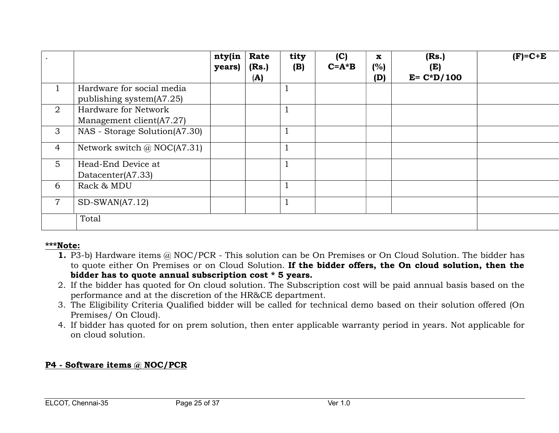|                |                                    | nty(in<br>years) | Rate<br>(Rs.)<br>(A) | tity<br>(B) | (C)<br>$C = A * B$ | $\mathbf{x}$<br>(%)<br>(D) | (Rs.)<br>(E)<br>$E = C*D/100$ | $(F)=C+E$ |
|----------------|------------------------------------|------------------|----------------------|-------------|--------------------|----------------------------|-------------------------------|-----------|
| $\mathbf{1}$   | Hardware for social media          |                  |                      |             |                    |                            |                               |           |
|                | publishing system(A7.25)           |                  |                      |             |                    |                            |                               |           |
| 2              | Hardware for Network               |                  |                      |             |                    |                            |                               |           |
|                | Management client(A7.27)           |                  |                      |             |                    |                            |                               |           |
| 3              | NAS - Storage Solution(A7.30)      |                  |                      |             |                    |                            |                               |           |
| $\overline{4}$ | Network switch $\omega$ NOC(A7.31) |                  |                      |             |                    |                            |                               |           |
| 5 <sup>5</sup> | Head-End Device at                 |                  |                      |             |                    |                            |                               |           |
|                | Datacenter(A7.33)                  |                  |                      |             |                    |                            |                               |           |
| 6              | Rack & MDU                         |                  |                      |             |                    |                            |                               |           |
| $\overline{7}$ | $SD-SWAN(A7.12)$                   |                  |                      |             |                    |                            |                               |           |
|                | Total                              |                  |                      |             |                    |                            |                               |           |

### \*\*\*Note:

- 1. P3-b) Hardware items @ NOC/PCR This solution can be On Premises or On Cloud Solution. The bidder has to quote either On Premises or on Cloud Solution. If the bidder offers, the On cloud solution, then the bidder has to quote annual subscription cost \* 5 years.
- 2. If the bidder has quoted for On cloud solution. The Subscription cost will be paid annual basis based on the performance and at the discretion of the HR&CE department.
- 3. The Eligibility Criteria Qualified bidder will be called for technical demo based on their solution offered (On Premises/ On Cloud).
- 4. If bidder has quoted for on prem solution, then enter applicable warranty period in years. Not applicable for on cloud solution.

## P4 - Software items @ NOC/PCR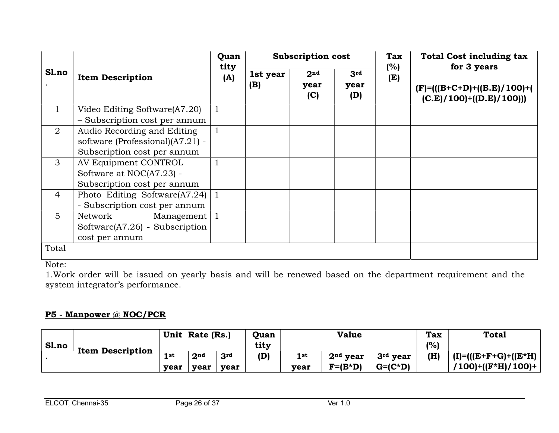| Sl.no          |                                                                                                | Quan<br>tity |                 | <b>Subscription cost</b>       |                    | <b>Tax</b><br>(%) | <b>Total Cost including tax</b><br>for 3 years              |
|----------------|------------------------------------------------------------------------------------------------|--------------|-----------------|--------------------------------|--------------------|-------------------|-------------------------------------------------------------|
|                | <b>Item Description</b>                                                                        | (A)          | 1st year<br>(B) | 2 <sub>nd</sub><br>year<br>(C) | 3rd<br>year<br>(D) | (E)               | $(F)=(((B+C+D)+((B.E)/100)+))$<br>$(C.E)/100)+( (D.E)/100)$ |
|                | Video Editing Software(A7.20)<br>- Subscription cost per annum                                 |              |                 |                                |                    |                   |                                                             |
| 2              | Audio Recording and Editing<br>software (Professional)(A7.21) -<br>Subscription cost per annum |              |                 |                                |                    |                   |                                                             |
| $\mathfrak{Z}$ | AV Equipment CONTROL<br>Software at NOC(A7.23) -<br>Subscription cost per annum                |              |                 |                                |                    |                   |                                                             |
| $\overline{4}$ | Photo Editing Software(A7.24)<br>- Subscription cost per annum                                 |              |                 |                                |                    |                   |                                                             |
| 5              | Network<br>Management $\vert$ 1<br>Software $(A7.26)$ - Subscription<br>cost per annum         |              |                 |                                |                    |                   |                                                             |
| Total          |                                                                                                |              |                 |                                |                    |                   |                                                             |

1.Work order will be issued on yearly basis and will be renewed based on the department requirement and the system integrator's performance.

## P5 - Manpower @ NOC/PCR

|       |                         |              | Unit Rate (Rs.) |                         | Quan        |             | <b>Value</b>            |                                     | <b>Tax</b> | <b>Total</b>                                 |
|-------|-------------------------|--------------|-----------------|-------------------------|-------------|-------------|-------------------------|-------------------------------------|------------|----------------------------------------------|
| Sl.no | <b>Item Description</b> | 1 st<br>vear | 2nd<br>vear     | 3 <sup>rd</sup><br>vear | tity<br>(D) | 1st<br>vear | $2nd$ vear<br>$F=(B*D)$ | 3 <sup>rd</sup> vear<br>$G= (C^*D)$ | (%)<br>(H) | $(I)=(((E+F+G)+(E*H))$<br>/100)+((F*H)/100)+ |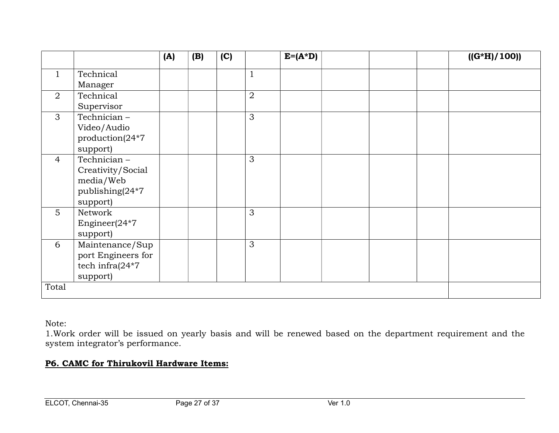|                 |                     | (A) | (B) | (C) |                | $E=(A^*D)$ | $((G^*H)/100))$ |
|-----------------|---------------------|-----|-----|-----|----------------|------------|-----------------|
| 1               | Technical           |     |     |     | $\mathbf{1}$   |            |                 |
|                 | Manager             |     |     |     |                |            |                 |
| $\overline{2}$  | Technical           |     |     |     | $\overline{2}$ |            |                 |
|                 | Supervisor          |     |     |     |                |            |                 |
| 3               | Technician-         |     |     |     | $\mathfrak{Z}$ |            |                 |
|                 | Video/Audio         |     |     |     |                |            |                 |
|                 | production(24*7     |     |     |     |                |            |                 |
|                 | support)            |     |     |     |                |            |                 |
| $\overline{4}$  | Technician-         |     |     |     | 3              |            |                 |
|                 | Creativity/Social   |     |     |     |                |            |                 |
|                 | media/Web           |     |     |     |                |            |                 |
|                 | publishing(24*7     |     |     |     |                |            |                 |
|                 | support)            |     |     |     |                |            |                 |
| $5\overline{)}$ | Network             |     |     |     | 3              |            |                 |
|                 | Engineer $(24*7)$   |     |     |     |                |            |                 |
|                 | support)            |     |     |     |                |            |                 |
| 6               | Maintenance/Sup     |     |     |     | 3              |            |                 |
|                 | port Engineers for  |     |     |     |                |            |                 |
|                 | tech infra $(24*7)$ |     |     |     |                |            |                 |
|                 | support)            |     |     |     |                |            |                 |
| Total           |                     |     |     |     |                |            |                 |

1.Work order will be issued on yearly basis and will be renewed based on the department requirement and the system integrator's performance.

## P6. CAMC for Thirukovil Hardware Items: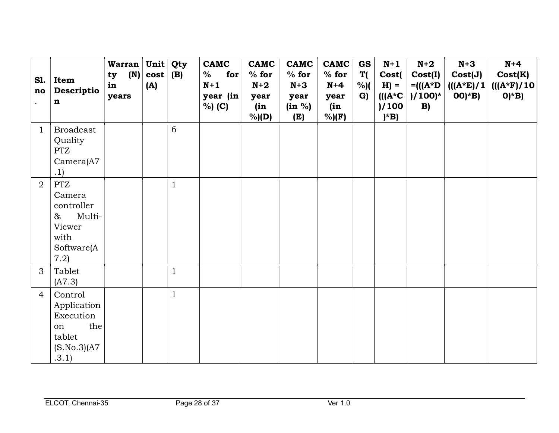| <b>S1.</b><br>no | Item<br>Descriptio<br>$\mathbf n$                                                            | <b>Warran</b><br>(N)<br>ty<br>in<br>years | Unit<br>cost<br>(A) | Qty<br>(B)   | <b>CAMC</b><br>for<br>%<br>$N+1$<br>year (in<br>% (C) | <b>CAMC</b><br>% for<br>$N+2$<br>year<br>(in<br>$%$ $(D)$ | <b>CAMC</b><br>$%$ for<br>$N+3$<br>year<br>(in %)<br>(E) | <b>CAMC</b><br>$%$ for<br>$N+4$<br>year<br>(in<br>$%$ )(F) | <b>GS</b><br>T(<br>%)(<br>G) | $N+1$<br>Cost(<br>$H) =$<br>$\mathbf{((}A^{\ast}C\mathbf{)}$<br>)/100<br>$)^{\ast}B)$ | $N+2$<br>Cost(I)<br>$= ((A^*D)$<br>$)/100$ <sup>*</sup><br>B) | $N+3$<br>Cost(J)<br>$(((A*E)/1$<br>$OO^*B)$ | $N+4$<br>Cost(K)<br>$(((A*F)/10)$<br>$O^*B$ |
|------------------|----------------------------------------------------------------------------------------------|-------------------------------------------|---------------------|--------------|-------------------------------------------------------|-----------------------------------------------------------|----------------------------------------------------------|------------------------------------------------------------|------------------------------|---------------------------------------------------------------------------------------|---------------------------------------------------------------|---------------------------------------------|---------------------------------------------|
| $\mathbf{1}$     | <b>Broadcast</b>                                                                             |                                           |                     | 6            |                                                       |                                                           |                                                          |                                                            |                              |                                                                                       |                                                               |                                             |                                             |
|                  | Quality<br><b>PTZ</b>                                                                        |                                           |                     |              |                                                       |                                                           |                                                          |                                                            |                              |                                                                                       |                                                               |                                             |                                             |
|                  | Camera(A7)                                                                                   |                                           |                     |              |                                                       |                                                           |                                                          |                                                            |                              |                                                                                       |                                                               |                                             |                                             |
|                  | .1)                                                                                          |                                           |                     |              |                                                       |                                                           |                                                          |                                                            |                              |                                                                                       |                                                               |                                             |                                             |
| $\overline{2}$   | <b>PTZ</b><br>Camera<br>controller<br>Multi-<br>$\&$<br>Viewer<br>with<br>Software(A<br>7.2) |                                           |                     | $\mathbf{1}$ |                                                       |                                                           |                                                          |                                                            |                              |                                                                                       |                                                               |                                             |                                             |
| 3                | Tablet<br>(A7.3)                                                                             |                                           |                     | 1            |                                                       |                                                           |                                                          |                                                            |                              |                                                                                       |                                                               |                                             |                                             |
| $\overline{4}$   | Control<br>Application<br>Execution<br>the<br>on<br>tablet<br>(S.No.3)(A7)<br>.3.1)          |                                           |                     | 1            |                                                       |                                                           |                                                          |                                                            |                              |                                                                                       |                                                               |                                             |                                             |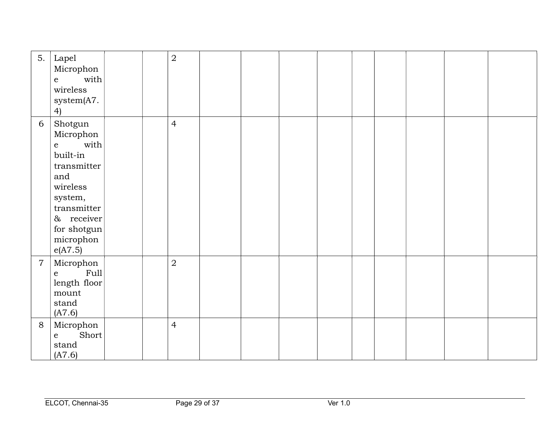| 5.             | Lapel<br>Microphon<br>with $\vert$<br>$\mathbf{e}$<br>wireless<br>system(A7.<br>4)                                                                                                   |  | $\overline{2}$ |  |  |  |  |  |
|----------------|--------------------------------------------------------------------------------------------------------------------------------------------------------------------------------------|--|----------------|--|--|--|--|--|
| 6              | Shotgun<br>Microphon<br>with $\vert$<br>$\mathbf{e}$<br>built-in<br>transmitter<br>and<br>wireless<br>system,<br>transmitter<br>$\&$ receiver<br>for shotgun<br>microphon<br>e(A7.5) |  | $\overline{4}$ |  |  |  |  |  |
| $\overline{7}$ | Microphon<br>Full<br>${\bf e}$<br>length floor<br>mount<br>stand<br>(A7.6)                                                                                                           |  | $\overline{2}$ |  |  |  |  |  |
| $8\,$          | Microphon<br>Short<br>$\mathbf{e}$<br>stand<br>(A7.6)                                                                                                                                |  | $\overline{4}$ |  |  |  |  |  |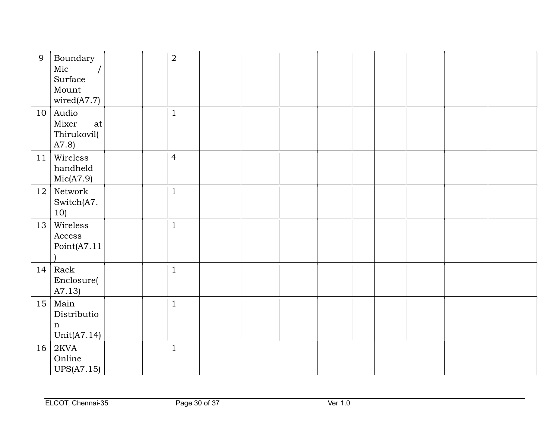| 9  | Boundary<br>Mic<br>Surface<br>Mount<br>wired(A7.7) | $\overline{2}$ |  |  |  |  |  |
|----|----------------------------------------------------|----------------|--|--|--|--|--|
|    | $10$ Audio<br>Mixer<br>at<br>Thirukovil(<br>A7.8   | $\mathbf{1}$   |  |  |  |  |  |
| 11 | Wireless<br>handheld<br>Mic(A7.9)                  | $\overline{4}$ |  |  |  |  |  |
| 12 | Network<br>Switch(A7.<br>10)                       | $\mathbf{1}$   |  |  |  |  |  |
| 13 | Wireless<br>Access<br>Point(A7.11)                 | $\mathbf{1}$   |  |  |  |  |  |
| 14 | Rack<br>Enclosure(<br>A7.13)                       | $\mathbf{1}$   |  |  |  |  |  |
| 15 | Main<br>Distributio<br>$\mathbf n$<br>Unit(A7.14)  | $\mathbf{1}$   |  |  |  |  |  |
| 16 | 2KVA<br>Online<br><b>UPS(A7.15)</b>                | $\mathbf{1}$   |  |  |  |  |  |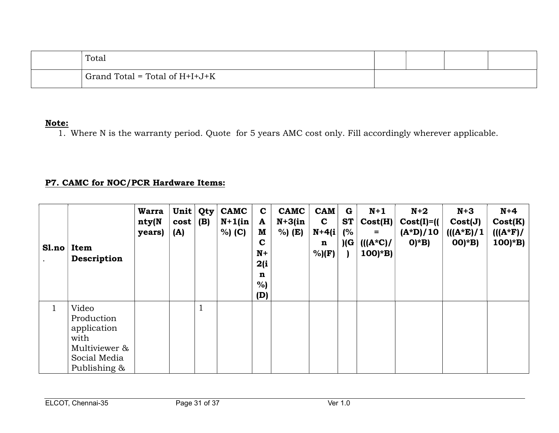| Total                            |  |  |
|----------------------------------|--|--|
| Grand Total = Total of $H+H+J+K$ |  |  |

1. Where N is the warranty period. Quote for 5 years AMC cost only. Fill accordingly wherever applicable.

## P7. CAMC for NOC/PCR Hardware Items:

| Sl.no        | Item<br>Description                                                                         | <b>Warra</b><br>nty(N<br>years) | Unit<br>cost<br>(A) | Qty<br>(B)          | <b>CAMC</b><br>$N+1$ (in<br>% (C) | $\mathbf C$<br>A<br>M<br>$\mathbf C$<br>$N+$<br>2(i)<br>n<br>%<br>(D) | <b>CAMC</b><br>$N+3$ (in<br>%) (E) | <b>CAM</b><br>$\mathbf C$<br>$N+4(i)$<br>$\mathbf n$<br>$%$ )(F) | G<br><b>ST</b><br>$\mathbf{C}^{\prime\prime}$<br>)(G | $N+1$<br>Cost(H)<br>$=$<br>$((A*C) /$<br>$100$ <sup>*</sup> B) | $N+2$<br>$Cost(I)=$<br>$(A*D)/10$<br>$O^*B$ | $N+3$<br>Cost(J)<br>$((A*E)/1)$<br>$(00)^*B$ | $N+4$<br>Cost(K)<br>$((A*F)/$<br>$100)*B$ |
|--------------|---------------------------------------------------------------------------------------------|---------------------------------|---------------------|---------------------|-----------------------------------|-----------------------------------------------------------------------|------------------------------------|------------------------------------------------------------------|------------------------------------------------------|----------------------------------------------------------------|---------------------------------------------|----------------------------------------------|-------------------------------------------|
| $\mathbf{1}$ | Video<br>Production<br>application<br>with<br>Multiviewer &<br>Social Media<br>Publishing & |                                 |                     | $\blacksquare$<br>Ŧ |                                   |                                                                       |                                    |                                                                  |                                                      |                                                                |                                             |                                              |                                           |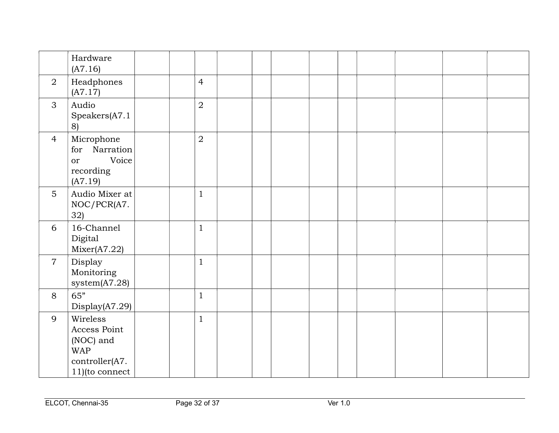|                 | Hardware<br>(A7.16)                                                                        |                |  |  |  |  |  |
|-----------------|--------------------------------------------------------------------------------------------|----------------|--|--|--|--|--|
| $\overline{2}$  | Headphones<br>(A7.17)                                                                      | $\overline{4}$ |  |  |  |  |  |
| 3               | Audio<br>Speakers(A7.1<br>8)                                                               | $\overline{2}$ |  |  |  |  |  |
| $\overline{4}$  | Microphone<br>Narration<br>for<br>Voice<br><b>or</b><br>recording<br>(A7.19)               | $\overline{2}$ |  |  |  |  |  |
| $5\overline{)}$ | Audio Mixer at<br>NOC/PCR(A7.<br>32)                                                       | $\mathbf{1}$   |  |  |  |  |  |
| 6               | 16-Channel<br>Digital<br>Mixer(A7.22)                                                      | $\mathbf{1}$   |  |  |  |  |  |
| $\overline{7}$  | Display<br>Monitoring<br>system $(A7.28)$                                                  | $\mathbf{1}$   |  |  |  |  |  |
| 8               | 65"<br>Display(A7.29)                                                                      | $\mathbf{1}$   |  |  |  |  |  |
| 9               | Wireless<br>Access Point<br>(NOC) and<br><b>WAP</b><br>controller(A7.<br>$11)$ (to connect | $\mathbf{1}$   |  |  |  |  |  |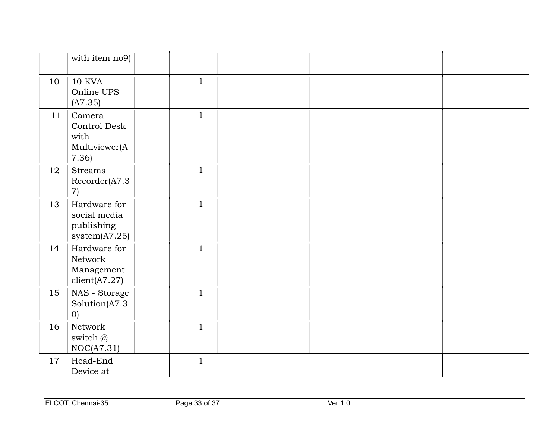|    | with item no9)                                              |              |  |  |  |  |  |
|----|-------------------------------------------------------------|--------------|--|--|--|--|--|
| 10 | 10 KVA<br>Online UPS<br>(A7.35)                             | $\mathbf{1}$ |  |  |  |  |  |
| 11 | Camera<br>Control Desk<br>with<br>Multiviewer(A<br>7.36     | $\mathbf{1}$ |  |  |  |  |  |
| 12 | <b>Streams</b><br>Recorder(A7.3<br>$\left( 7\right)$        | $\mathbf{1}$ |  |  |  |  |  |
| 13 | Hardware for<br>social media<br>publishing<br>system(A7.25) | $\mathbf{1}$ |  |  |  |  |  |
| 14 | Hardware for<br>Network<br>Management<br>client(A7.27)      | $\mathbf{1}$ |  |  |  |  |  |
| 15 | NAS - Storage<br>Solution(A7.3<br>$O$ )                     | $\mathbf{1}$ |  |  |  |  |  |
| 16 | Network<br>switch @<br>NOC(A7.31)                           | $\mathbf{1}$ |  |  |  |  |  |
| 17 | Head-End<br>Device at                                       | $\mathbf{1}$ |  |  |  |  |  |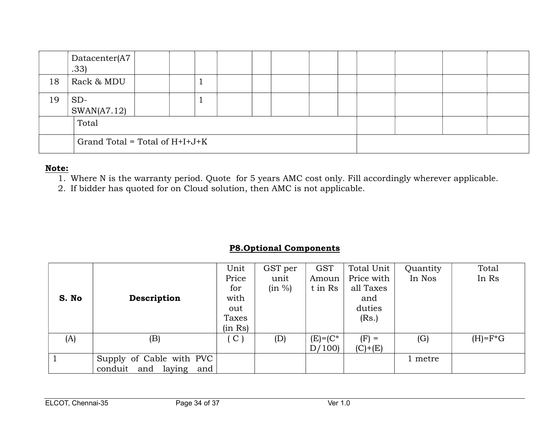|    | Datacenter(A7<br>.33)            |  |  |  |  |  |  |  |  |  |  |
|----|----------------------------------|--|--|--|--|--|--|--|--|--|--|
| 18 | Rack & MDU                       |  |  |  |  |  |  |  |  |  |  |
| 19 | $SD-$<br>SWAN(A7.12)             |  |  |  |  |  |  |  |  |  |  |
|    | Total                            |  |  |  |  |  |  |  |  |  |  |
|    | Grand Total = Total of $H+I+J+K$ |  |  |  |  |  |  |  |  |  |  |

- 1. Where N is the warranty period. Quote for 5 years AMC cost only. Fill accordingly wherever applicable.
- 2. If bidder has quoted for on Cloud solution, then AMC is not applicable.

## P8.Optional Components

|       |                              | Unit          | GST per | <b>GST</b>   | Total Unit | Quantity | Total      |
|-------|------------------------------|---------------|---------|--------------|------------|----------|------------|
|       |                              | Price         | unit    | Amoun        | Price with | In Nos   | In Rs      |
|       |                              | for           | (in %)  | t in Rs      | all Taxes  |          |            |
| S. No | Description                  | with          |         |              | and        |          |            |
|       |                              | out           |         |              | duties     |          |            |
|       |                              | Taxes         |         |              | (Rs.)      |          |            |
|       |                              | (in Rs)       |         |              |            |          |            |
| (A)   | (B)                          | $\mathcal{C}$ | (D)     | $(E) = (C^*$ | $(F) =$    | (G)      | $(H)=F^*G$ |
|       |                              |               |         | D/100        | $(C)+(E)$  |          |            |
|       | Supply of Cable with PVC     |               |         |              |            | 1 metre  |            |
|       | and laying<br>conduit<br>and |               |         |              |            |          |            |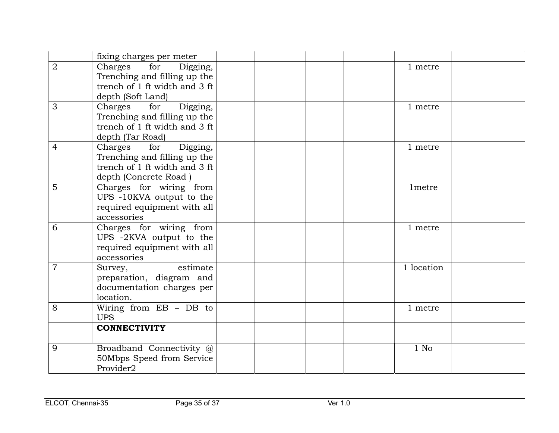|                | fixing charges per meter                                                                                             |                    |  |
|----------------|----------------------------------------------------------------------------------------------------------------------|--------------------|--|
| $\overline{2}$ | Charges<br>for<br>Digging,<br>Trenching and filling up the<br>trench of 1 ft width and 3 ft<br>depth (Soft Land)     | 1 metre            |  |
| 3              | Charges<br>for<br>Digging,<br>Trenching and filling up the<br>trench of 1 ft width and 3 ft<br>depth (Tar Road)      | 1 metre            |  |
| 4              | Charges<br>for<br>Digging,<br>Trenching and filling up the<br>trench of 1 ft width and 3 ft<br>depth (Concrete Road) | 1 metre            |  |
| 5              | Charges for wiring from<br>UPS -10KVA output to the<br>required equipment with all<br>accessories                    | 1 <sub>metre</sub> |  |
| 6              | Charges for wiring from<br>UPS -2KVA output to the<br>required equipment with all<br>accessories                     | 1 metre            |  |
| 7              | estimate<br>Survey,<br>preparation, diagram and<br>documentation charges per<br>location.                            | 1 location         |  |
| 8              | Wiring from $EB - DB$ to<br><b>UPS</b>                                                                               | 1 metre            |  |
|                | <b>CONNECTIVITY</b>                                                                                                  |                    |  |
| 9              | Broadband Connectivity @<br>50Mbps Speed from Service<br>Provider2                                                   | $1$ No             |  |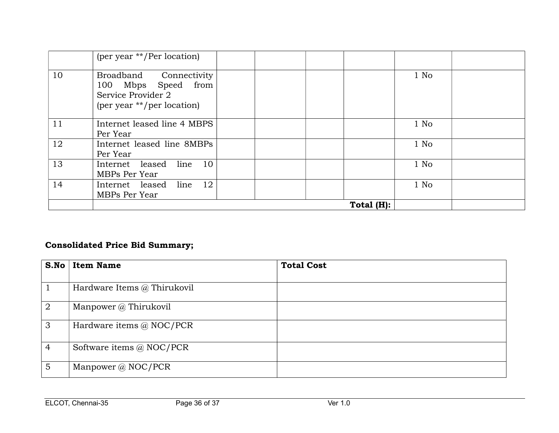|    | (per year **/Per location)                                                                        |               |        |  |
|----|---------------------------------------------------------------------------------------------------|---------------|--------|--|
| 10 | Broadband Connectivity<br>100 Mbps Speed from<br>Service Provider 2<br>(per year **/per location) |               | $1$ No |  |
| 11 | Internet leased line 4 MBPS<br>Per Year                                                           |               | $1$ No |  |
| 12 | Internet leased line 8MBPs<br>Per Year                                                            |               | $1$ No |  |
| 13 | 10<br>line<br>Internet leased<br>MBPs Per Year                                                    |               | $1$ No |  |
| 14 | line 12<br>Internet leased<br>MBPs Per Year                                                       |               | $1$ No |  |
|    |                                                                                                   | Total $(H)$ : |        |  |

# Consolidated Price Bid Summary;

| S.No           | <b>Item Name</b>                | <b>Total Cost</b> |
|----------------|---------------------------------|-------------------|
|                | Hardware Items @ Thirukovil     |                   |
| $\overline{2}$ | Manpower @ Thirukovil           |                   |
| 3              | Hardware items $\omega$ NOC/PCR |                   |
| $\overline{4}$ | Software items $\omega$ NOC/PCR |                   |
| 5              | Manpower $\omega$ NOC/PCR       |                   |